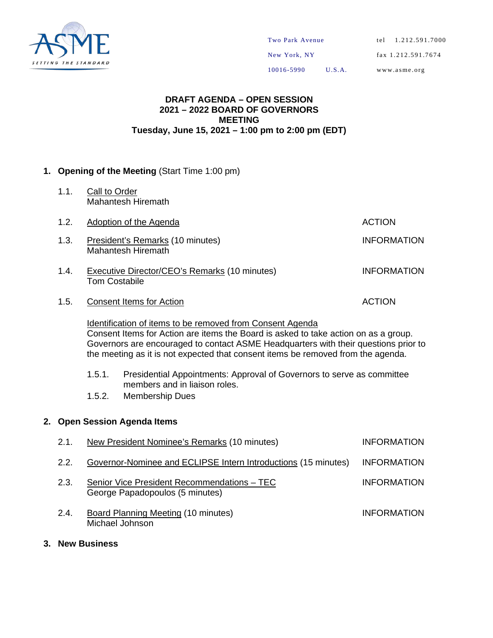

### **DRAFT AGENDA – OPEN SESSION 2021 – 2022 BOARD OF GOVERNORS MEETING Tuesday, June 15, 2021 – 1:00 pm to 2:00 pm (EDT)**

# **1. Opening of the Meeting** (Start Time 1:00 pm)

1.1. Call to Order Mahantesh Hiremath

| 1.2. | Adoption of the Agenda                                                       | <b>ACTION</b>      |
|------|------------------------------------------------------------------------------|--------------------|
| 1.3. | President's Remarks (10 minutes)<br>Mahantesh Hiremath                       | <b>INFORMATION</b> |
| 1.4. | <b>Executive Director/CEO's Remarks (10 minutes)</b><br><b>Tom Costabile</b> | <b>INFORMATION</b> |
| 1.5. | <b>Consent Items for Action</b>                                              | <b>ACTION</b>      |

Identification of items to be removed from Consent Agenda Consent Items for Action are items the Board is asked to take action on as a group. Governors are encouraged to contact ASME Headquarters with their questions prior to the meeting as it is not expected that consent items be removed from the agenda.

- 1.5.1. Presidential Appointments: Approval of Governors to serve as committee members and in liaison roles.
- 1.5.2. Membership Dues

### **2. Open Session Agenda Items**

| 2.1. | New President Nominee's Remarks (10 minutes)                                   | <b>INFORMATION</b> |
|------|--------------------------------------------------------------------------------|--------------------|
| 2.2. | Governor-Nominee and ECLIPSE Intern Introductions (15 minutes)                 | <b>INFORMATION</b> |
| 2.3. | Senior Vice President Recommendations - TEC<br>George Papadopoulos (5 minutes) | <b>INFORMATION</b> |
| 2.4. | <b>Board Planning Meeting (10 minutes)</b><br>Michael Johnson                  | <b>INFORMATION</b> |

**3. New Business**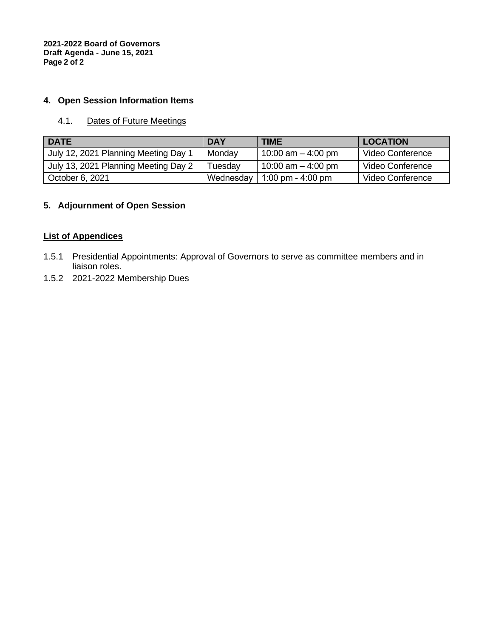**2021-2022 Board of Governors Draft Agenda - June 15, 2021 Page 2 of 2** 

# **4. Open Session Information Items**

# 4.1. Dates of Future Meetings

| <b>DATE</b>                          | <b>DAY</b> | <b>TIME</b>          | <b>LOCATION</b>  |
|--------------------------------------|------------|----------------------|------------------|
| July 12, 2021 Planning Meeting Day 1 | Monday     | 10:00 am $-$ 4:00 pm | Video Conference |
| July 13, 2021 Planning Meeting Day 2 | Tuesdav    | 10:00 am $-$ 4:00 pm | Video Conference |
| October 6, 2021                      | Wednesday  | 1:00 pm - 4:00 pm    | Video Conference |

# **5. Adjournment of Open Session**

# **List of Appendices**

- 1.5.1 Presidential Appointments: Approval of Governors to serve as committee members and in liaison roles.
- 1.5.2 2021-2022 Membership Dues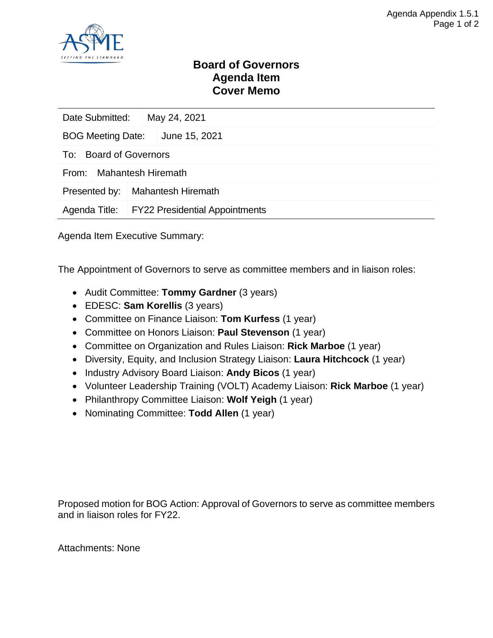

# **Board of Governors Agenda Item Cover Memo**

| Date Submitted:                    |  | May 24, 2021                                 |  |  |  |  |
|------------------------------------|--|----------------------------------------------|--|--|--|--|
| <b>BOG Meeting Date:</b>           |  | June 15, 2021                                |  |  |  |  |
| <b>Board of Governors</b><br>To:   |  |                                              |  |  |  |  |
| <b>Mahantesh Hiremath</b><br>From: |  |                                              |  |  |  |  |
| Presented by:                      |  | <b>Mahantesh Hiremath</b>                    |  |  |  |  |
|                                    |  | Agenda Title: FY22 Presidential Appointments |  |  |  |  |

Agenda Item Executive Summary:

The Appointment of Governors to serve as committee members and in liaison roles:

- Audit Committee: **Tommy Gardner** (3 years)
- EDESC: **Sam Korellis** (3 years)
- Committee on Finance Liaison: **Tom Kurfess** (1 year)
- Committee on Honors Liaison: **Paul Stevenson** (1 year)
- Committee on Organization and Rules Liaison: **Rick Marboe** (1 year)
- Diversity, Equity, and Inclusion Strategy Liaison: **Laura Hitchcock** (1 year)
- Industry Advisory Board Liaison: **Andy Bicos** (1 year)
- Volunteer Leadership Training (VOLT) Academy Liaison: **Rick Marboe** (1 year)
- Philanthropy Committee Liaison: **Wolf Yeigh** (1 year)
- Nominating Committee: **Todd Allen** (1 year)

Proposed motion for BOG Action: Approval of Governors to serve as committee members and in liaison roles for FY22.

Attachments: None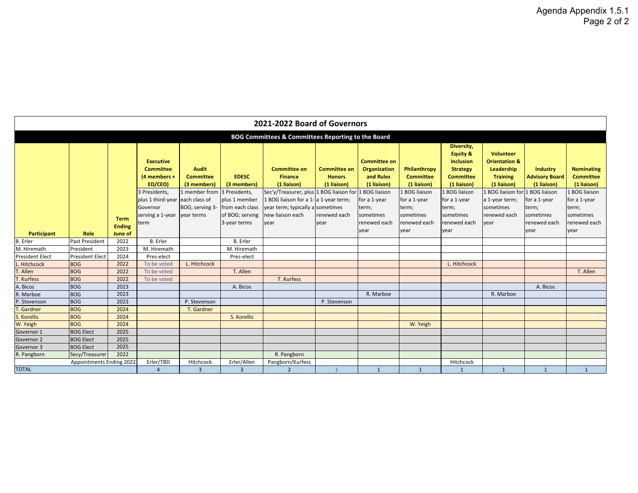| 2021-2022 Board of Governors                       |                          |                          |                                                                    |                                                                 |                                                                      |                                                                                                                                          |                                                     |                                                                 |                                                     |                                                                                                      |                                                                                       |                                                         |                                                      |
|----------------------------------------------------|--------------------------|--------------------------|--------------------------------------------------------------------|-----------------------------------------------------------------|----------------------------------------------------------------------|------------------------------------------------------------------------------------------------------------------------------------------|-----------------------------------------------------|-----------------------------------------------------------------|-----------------------------------------------------|------------------------------------------------------------------------------------------------------|---------------------------------------------------------------------------------------|---------------------------------------------------------|------------------------------------------------------|
| BOG Committees & Committees Reporting to the Board |                          |                          |                                                                    |                                                                 |                                                                      |                                                                                                                                          |                                                     |                                                                 |                                                     |                                                                                                      |                                                                                       |                                                         |                                                      |
|                                                    |                          |                          | <b>Executive</b><br><b>Committee</b><br>(4 members +<br>ED/CEO)    | <b>Audit</b><br><b>Committee</b><br>(3 members)                 | <b>EDESC</b><br>(3 members)                                          | <b>Committee on</b><br><b>Finance</b><br>(1 liaison)                                                                                     | <b>Committee on</b><br><b>Honors</b><br>(1 liaison) | <b>Committee on</b><br>Organization<br>and Rules<br>(1 liaison) | Philanthropy<br><b>Committee</b><br>(1 liaison)     | Diversity,<br><b>Equity &amp;</b><br>Inclusion<br><b>Strategy</b><br><b>Committee</b><br>(1 liaison) | Volunteer<br><b>Orientation &amp;</b><br>Leadership<br><b>Training</b><br>(1 liaison) | <b>Industry</b><br><b>Advisory Board</b><br>(1 liaison) | <b>Nominating</b><br><b>Committee</b><br>(1 liaison) |
|                                                    |                          | <b>Term</b>              | 3 Presidents,<br>plus 1 third-year<br>Governor<br>serving a 1-year | 1 member from<br>each class of<br>BOG; serving 3-<br>year terms | 3 Presidents,<br>plus 1 member<br>from each class<br>of BOG; serving | Sec'y/Treasurer, plus 1 BOG liaison for<br>1 BOG liaison for a 1- a 1-year term;<br>year term; typically a sometimes<br>new liaison each | renewed each                                        | 1 BOG liaison<br>for a 1-year<br>term;<br>sometimes             | 1 BOG liaison<br>for a 1-year<br>term;<br>sometimes | 1 BOG liaison<br>for a 1-year<br>term;<br>sometimes                                                  | 1 BOG liaison for 1 BOG liaison<br>a 1-year term;<br>sometimes<br>renewed each        | for a 1-year<br>term;<br>sometimes                      | 1 BOG liaison<br>for a 1-year<br>term;<br>sometimes  |
| <b>Participant</b>                                 | <b>Role</b>              | <b>Ending</b><br>June of | term                                                               |                                                                 | 3-year terms                                                         | year                                                                                                                                     | year                                                | renewed each<br>year                                            | renewed each<br>year                                | renewed each<br>year                                                                                 | vear                                                                                  | renewed each<br>year                                    | renewed each<br>year                                 |
| <b>B.</b> Erler                                    | <b>Past President</b>    | 2022                     | <b>B.</b> Erler                                                    |                                                                 | <b>B.</b> Erler                                                      |                                                                                                                                          |                                                     |                                                                 |                                                     |                                                                                                      |                                                                                       |                                                         |                                                      |
| M. Hiremath                                        | President                | 2023                     | M. Hiremath                                                        |                                                                 | M. Hiremath                                                          |                                                                                                                                          |                                                     |                                                                 |                                                     |                                                                                                      |                                                                                       |                                                         |                                                      |
| <b>President Elect</b>                             | <b>President Elect</b>   | 2024                     | Pres-elect                                                         |                                                                 | Pres-elect                                                           |                                                                                                                                          |                                                     |                                                                 |                                                     |                                                                                                      |                                                                                       |                                                         |                                                      |
| Hitchcock                                          | <b>BOG</b>               | 2022                     | To be voted                                                        | L. Hitchcock                                                    |                                                                      |                                                                                                                                          |                                                     |                                                                 |                                                     | L. Hitchcock                                                                                         |                                                                                       |                                                         |                                                      |
| <b>T.</b> Allen                                    | <b>BOG</b>               | 2022                     | To be voted                                                        |                                                                 | T. Allen                                                             |                                                                                                                                          |                                                     |                                                                 |                                                     |                                                                                                      |                                                                                       |                                                         | T. Allen                                             |
| . Kurfess                                          | <b>BOG</b>               | 2022                     | To be voted                                                        |                                                                 |                                                                      | T. Kurfess                                                                                                                               |                                                     |                                                                 |                                                     |                                                                                                      |                                                                                       |                                                         |                                                      |
| A. Bicos                                           | <b>BOG</b>               | 2023                     |                                                                    |                                                                 | A. Bicos                                                             |                                                                                                                                          |                                                     |                                                                 |                                                     |                                                                                                      |                                                                                       | A. Bicos                                                |                                                      |
| R. Marboe                                          | <b>BOG</b>               | 2023                     |                                                                    |                                                                 |                                                                      |                                                                                                                                          |                                                     | R. Marboe                                                       |                                                     |                                                                                                      | R. Marboe                                                                             |                                                         |                                                      |
| P. Stevenson                                       | <b>BOG</b>               | 2023                     |                                                                    | P. Stevenson                                                    |                                                                      |                                                                                                                                          | P. Stevenson                                        |                                                                 |                                                     |                                                                                                      |                                                                                       |                                                         |                                                      |
| Gardner                                            | <b>BOG</b>               | 2024                     |                                                                    | T. Gardner                                                      |                                                                      |                                                                                                                                          |                                                     |                                                                 |                                                     |                                                                                                      |                                                                                       |                                                         |                                                      |
| S. Korellis                                        | <b>BOG</b>               | 2024                     |                                                                    |                                                                 | S. Korellis                                                          |                                                                                                                                          |                                                     |                                                                 |                                                     |                                                                                                      |                                                                                       |                                                         |                                                      |
| W. Yeigh                                           | <b>BOG</b>               | 2024                     |                                                                    |                                                                 |                                                                      |                                                                                                                                          |                                                     |                                                                 | W. Yeigh                                            |                                                                                                      |                                                                                       |                                                         |                                                      |
| Governor 1                                         | <b>BOG Elect</b>         | 2025                     |                                                                    |                                                                 |                                                                      |                                                                                                                                          |                                                     |                                                                 |                                                     |                                                                                                      |                                                                                       |                                                         |                                                      |
| Governor 2                                         | <b>BOG Elect</b>         | 2025                     |                                                                    |                                                                 |                                                                      |                                                                                                                                          |                                                     |                                                                 |                                                     |                                                                                                      |                                                                                       |                                                         |                                                      |
| Governor 3                                         | <b>BOG Elect</b>         | 2025                     |                                                                    |                                                                 |                                                                      |                                                                                                                                          |                                                     |                                                                 |                                                     |                                                                                                      |                                                                                       |                                                         |                                                      |
| R. Pangborn                                        | Secy/Treasurer           | 2022                     |                                                                    |                                                                 |                                                                      | R. Pangborn                                                                                                                              |                                                     |                                                                 |                                                     |                                                                                                      |                                                                                       |                                                         |                                                      |
|                                                    | Appointments Ending 2022 |                          | Erler/TBD                                                          | Hitchcock                                                       | Erler/Allen                                                          | Pangborn/Kurfess                                                                                                                         |                                                     |                                                                 |                                                     | Hitchcock                                                                                            |                                                                                       |                                                         |                                                      |
| <b>TOTAL</b>                                       |                          |                          | $\overline{4}$                                                     | $\overline{3}$                                                  | $\overline{3}$                                                       | $\overline{2}$                                                                                                                           |                                                     | $\mathbf{1}$                                                    | $\mathbf{1}$                                        | $\overline{1}$                                                                                       |                                                                                       | $\mathbf{1}$                                            |                                                      |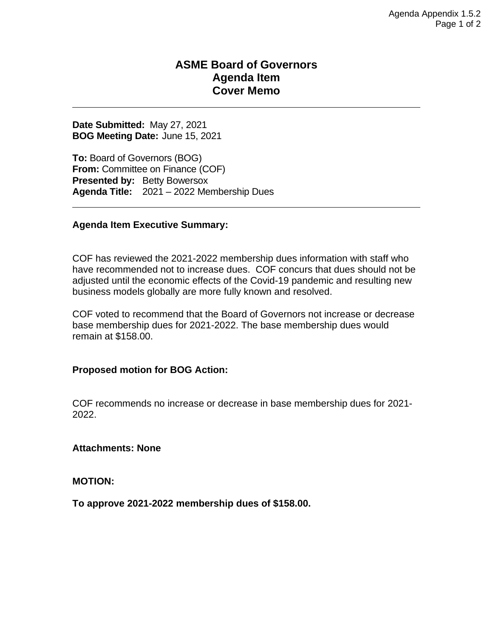# **ASME Board of Governors Agenda Item Cover Memo**

**Date Submitted:** May 27, 2021 **BOG Meeting Date:** June 15, 2021

**To:** Board of Governors (BOG) **From:** Committee on Finance (COF) **Presented by: Betty Bowersox Agenda Title:** 2021 – 2022 Membership Dues

# **Agenda Item Executive Summary:**

COF has reviewed the 2021-2022 membership dues information with staff who have recommended not to increase dues. COF concurs that dues should not be adjusted until the economic effects of the Covid-19 pandemic and resulting new business models globally are more fully known and resolved.

COF voted to recommend that the Board of Governors not increase or decrease base membership dues for 2021-2022. The base membership dues would remain at \$158.00.

### **Proposed motion for BOG Action:**

COF recommends no increase or decrease in base membership dues for 2021- 2022.

**Attachments: None**

**MOTION:**

**To approve 2021-2022 membership dues of \$158.00.**